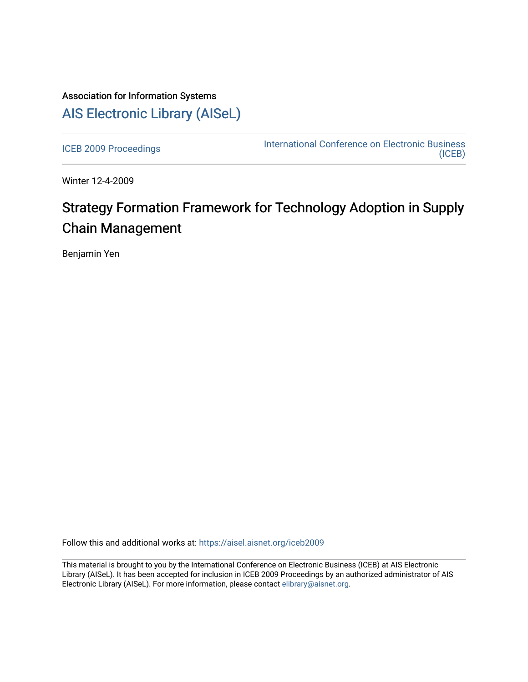## Association for Information Systems [AIS Electronic Library \(AISeL\)](https://aisel.aisnet.org/)

[ICEB 2009 Proceedings](https://aisel.aisnet.org/iceb2009) **International Conference on Electronic Business** [\(ICEB\)](https://aisel.aisnet.org/iceb) 

Winter 12-4-2009

# Strategy Formation Framework for Technology Adoption in Supply Chain Management

Benjamin Yen

Follow this and additional works at: [https://aisel.aisnet.org/iceb2009](https://aisel.aisnet.org/iceb2009?utm_source=aisel.aisnet.org%2Ficeb2009%2F109&utm_medium=PDF&utm_campaign=PDFCoverPages)

This material is brought to you by the International Conference on Electronic Business (ICEB) at AIS Electronic Library (AISeL). It has been accepted for inclusion in ICEB 2009 Proceedings by an authorized administrator of AIS Electronic Library (AISeL). For more information, please contact [elibrary@aisnet.org.](mailto:elibrary@aisnet.org%3E)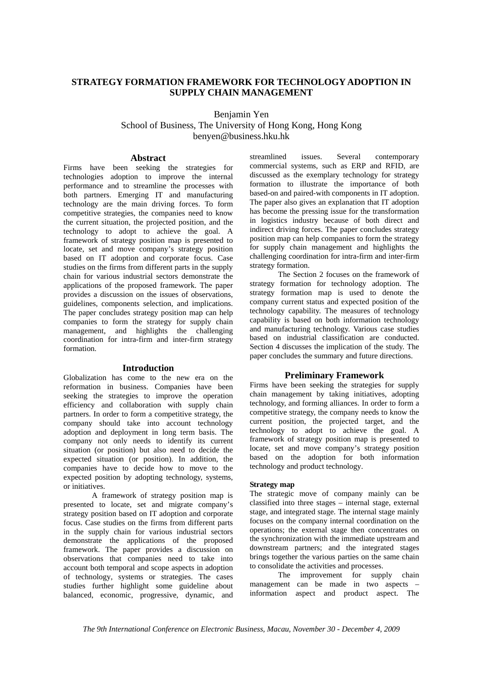## **STRATEGY FORMATION FRAMEWORK FOR TECHNOLOGY ADOPTION IN SUPPLY CHAIN MANAGEMENT**

Benjamin Yen

School of Business, The University of Hong Kong, Hong Kong benyen@business.hku.hk

## **Abstract**

Firms have been seeking the strategies for technologies adoption to improve the internal performance and to streamline the processes with both partners. Emerging IT and manufacturing technology are the main driving forces. To form competitive strategies, the companies need to know the current situation, the projected position, and the technology to adopt to achieve the goal. A framework of strategy position map is presented to locate, set and move company's strategy position based on IT adoption and corporate focus. Case studies on the firms from different parts in the supply chain for various industrial sectors demonstrate the applications of the proposed framework. The paper provides a discussion on the issues of observations, guidelines, components selection, and implications. The paper concludes strategy position map can help companies to form the strategy for supply chain management, and highlights the challenging coordination for intra-firm and inter-firm strategy formation.

## **Introduction**

Globalization has come to the new era on the reformation in business. Companies have been seeking the strategies to improve the operation efficiency and collaboration with supply chain partners. In order to form a competitive strategy, the company should take into account technology adoption and deployment in long term basis. The company not only needs to identify its current situation (or position) but also need to decide the expected situation (or position). In addition, the companies have to decide how to move to the expected position by adopting technology, systems, or initiatives.

A framework of strategy position map is presented to locate, set and migrate company's strategy position based on IT adoption and corporate focus. Case studies on the firms from different parts in the supply chain for various industrial sectors demonstrate the applications of the proposed framework. The paper provides a discussion on observations that companies need to take into account both temporal and scope aspects in adoption of technology, systems or strategies. The cases studies further highlight some guideline about balanced, economic, progressive, dynamic, and streamlined issues. Several contemporary commercial systems, such as ERP and RFID, are discussed as the exemplary technology for strategy formation to illustrate the importance of both based-on and paired-with components in IT adoption. The paper also gives an explanation that IT adoption has become the pressing issue for the transformation in logistics industry because of both direct and indirect driving forces. The paper concludes strategy position map can help companies to form the strategy for supply chain management and highlights the challenging coordination for intra-firm and inter-firm strategy formation.

The Section 2 focuses on the framework of strategy formation for technology adoption. The strategy formation map is used to denote the company current status and expected position of the technology capability. The measures of technology capability is based on both information technology and manufacturing technology. Various case studies based on industrial classification are conducted. Section 4 discusses the implication of the study. The paper concludes the summary and future directions.

## **Preliminary Framework**

Firms have been seeking the strategies for supply chain management by taking initiatives, adopting technology, and forming alliances. In order to form a competitive strategy, the company needs to know the current position, the projected target, and the technology to adopt to achieve the goal. A framework of strategy position map is presented to locate, set and move company's strategy position based on the adoption for both information technology and product technology.

## **Strategy map**

The strategic move of company mainly can be classified into three stages – internal stage, external stage, and integrated stage. The internal stage mainly focuses on the company internal coordination on the operations; the external stage then concentrates on the synchronization with the immediate upstream and downstream partners; and the integrated stages brings together the various parties on the same chain to consolidate the activities and processes.

The improvement for supply chain management can be made in two aspects – information aspect and product aspect. The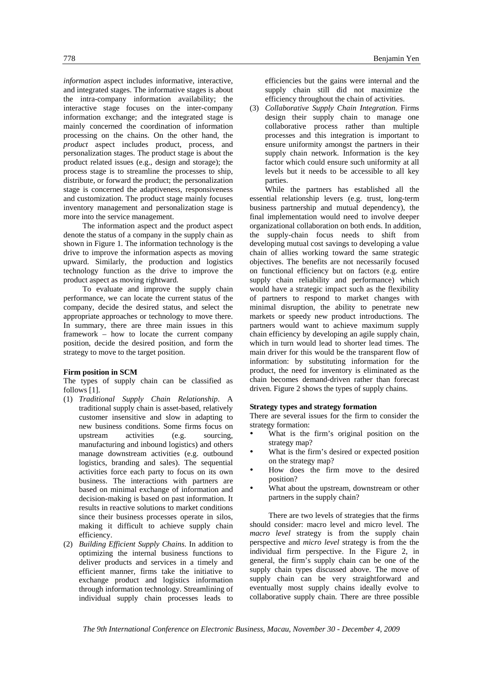*information* aspect includes informative, interactive, and integrated stages. The informative stages is about the intra-company information availability; the interactive stage focuses on the inter-company information exchange; and the integrated stage is mainly concerned the coordination of information processing on the chains. On the other hand, the *product* aspect includes product, process, and personalization stages. The product stage is about the product related issues (e.g., design and storage); the process stage is to streamline the processes to ship, distribute, or forward the product; the personalization stage is concerned the adaptiveness, responsiveness and customization. The product stage mainly focuses inventory management and personalization stage is more into the service management.

The information aspect and the product aspect denote the status of a company in the supply chain as shown in Figure 1. The information technology is the drive to improve the information aspects as moving upward. Similarly, the production and logistics technology function as the drive to improve the product aspect as moving rightward.

To evaluate and improve the supply chain performance, we can locate the current status of the company, decide the desired status, and select the appropriate approaches or technology to move there. In summary, there are three main issues in this framework – how to locate the current company position, decide the desired position, and form the strategy to move to the target position.

#### **Firm position in SCM**

The types of supply chain can be classified as follows [1].

- (1) *Traditional Supply Chain Relationship*. A traditional supply chain is asset-based, relatively customer insensitive and slow in adapting to new business conditions. Some firms focus on upstream activities (e.g. sourcing, manufacturing and inbound logistics) and others manage downstream activities (e.g. outbound logistics, branding and sales). The sequential activities force each party to focus on its own business. The interactions with partners are based on minimal exchange of information and decision-making is based on past information. It results in reactive solutions to market conditions since their business processes operate in silos, making it difficult to achieve supply chain efficiency.
- (2) *Building Efficient Supply Chains*. In addition to optimizing the internal business functions to deliver products and services in a timely and efficient manner, firms take the initiative to exchange product and logistics information through information technology. Streamlining of individual supply chain processes leads to

efficiencies but the gains were internal and the supply chain still did not maximize the efficiency throughout the chain of activities.

(3) *Collaborative Supply Chain Integration*. Firms design their supply chain to manage one collaborative process rather than multiple processes and this integration is important to ensure uniformity amongst the partners in their supply chain network. Information is the key factor which could ensure such uniformity at all levels but it needs to be accessible to all key parties.

While the partners has established all the essential relationship levers (e.g. trust, long-term business partnership and mutual dependency), the final implementation would need to involve deeper organizational collaboration on both ends. In addition, the supply-chain focus needs to shift from developing mutual cost savings to developing a value chain of allies working toward the same strategic objectives. The benefits are not necessarily focused on functional efficiency but on factors (e.g. entire supply chain reliability and performance) which would have a strategic impact such as the flexibility of partners to respond to market changes with minimal disruption, the ability to penetrate new markets or speedy new product introductions. The partners would want to achieve maximum supply chain efficiency by developing an agile supply chain, which in turn would lead to shorter lead times. The main driver for this would be the transparent flow of information: by substituting information for the product, the need for inventory is eliminated as the chain becomes demand-driven rather than forecast driven. Figure 2 shows the types of supply chains.

## **Strategy types and strategy formation**

There are several issues for the firm to consider the strategy formation:

- What is the firm's original position on the strategy map?
- What is the firm's desired or expected position on the strategy map?
- How does the firm move to the desired position?
- What about the upstream, downstream or other partners in the supply chain?

There are two levels of strategies that the firms should consider: macro level and micro level. The *macro level* strategy is from the supply chain perspective and *micro level* strategy is from the the individual firm perspective. In the Figure 2, in general, the firm's supply chain can be one of the supply chain types discussed above. The move of supply chain can be very straightforward and eventually most supply chains ideally evolve to collaborative supply chain. There are three possible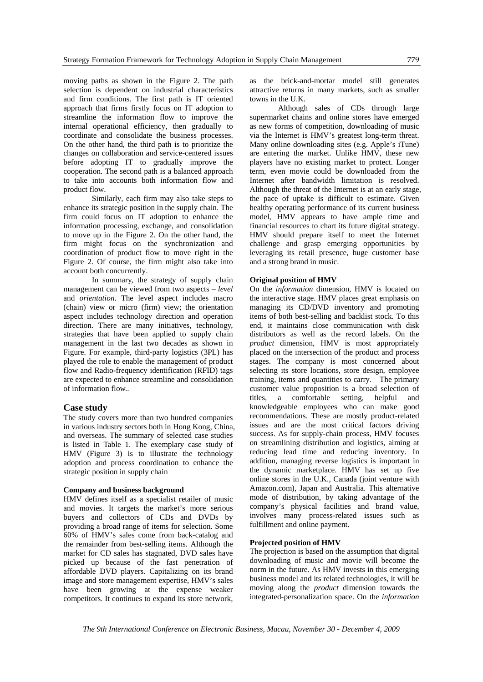moving paths as shown in the Figure 2. The path selection is dependent on industrial characteristics and firm conditions. The first path is IT oriented approach that firms firstly focus on IT adoption to streamline the information flow to improve the internal operational efficiency, then gradually to coordinate and consolidate the business processes. On the other hand, the third path is to prioritize the changes on collaboration and service-centered issues before adopting IT to gradually improve the cooperation. The second path is a balanced approach to take into accounts both information flow and product flow.

Similarly, each firm may also take steps to enhance its strategic position in the supply chain. The firm could focus on IT adoption to enhance the information processing, exchange, and consolidation to move up in the Figure 2. On the other hand, the firm might focus on the synchronization and coordination of product flow to move right in the Figure 2. Of course, the firm might also take into account both concurrently.

In summary, the strategy of supply chain management can be viewed from two aspects – *level* and *orientation*. The level aspect includes macro (chain) view or micro (firm) view; the orientation aspect includes technology direction and operation direction. There are many initiatives, technology, strategies that have been applied to supply chain management in the last two decades as shown in Figure. For example, third-party logistics (3PL) has played the role to enable the management of product flow and Radio-frequency identification (RFID) tags are expected to enhance streamline and consolidation of information flow..

#### **Case study**

The study covers more than two hundred companies in various industry sectors both in Hong Kong, China, and overseas. The summary of selected case studies is listed in Table 1. The exemplary case study of HMV (Figure 3) is to illustrate the technology adoption and process coordination to enhance the strategic position in supply chain

#### **Company and business background**

HMV defines itself as a specialist retailer of music and movies. It targets the market's more serious buyers and collectors of CDs and DVDs by providing a broad range of items for selection. Some 60% of HMV's sales come from back-catalog and the remainder from best-selling items. Although the market for CD sales has stagnated, DVD sales have picked up because of the fast penetration of affordable DVD players. Capitalizing on its brand image and store management expertise, HMV's sales have been growing at the expense weaker competitors. It continues to expand its store network,

as the brick-and-mortar model still generates attractive returns in many markets, such as smaller towns in the U.K.

Although sales of CDs through large supermarket chains and online stores have emerged as new forms of competition, downloading of music via the Internet is HMV's greatest long-term threat. Many online downloading sites (e.g. Apple's iTune) are entering the market. Unlike HMV, these new players have no existing market to protect. Longer term, even movie could be downloaded from the Internet after bandwidth limitation is resolved. Although the threat of the Internet is at an early stage, the pace of uptake is difficult to estimate. Given healthy operating performance of its current business model, HMV appears to have ample time and financial resources to chart its future digital strategy. HMV should prepare itself to meet the Internet challenge and grasp emerging opportunities by leveraging its retail presence, huge customer base and a strong brand in music.

## **Original position of HMV**

On the *information* dimension, HMV is located on the interactive stage. HMV places great emphasis on managing its CD/DVD inventory and promoting items of both best-selling and backlist stock. To this end, it maintains close communication with disk distributors as well as the record labels. On the *product* dimension, HMV is most appropriately placed on the intersection of the product and process stages. The company is most concerned about selecting its store locations, store design, employee training, items and quantities to carry. The primary customer value proposition is a broad selection of titles, a comfortable setting, helpful and knowledgeable employees who can make good recommendations. These are mostly product-related issues and are the most critical factors driving success. As for supply-chain process, HMV focuses on streamlining distribution and logistics, aiming at reducing lead time and reducing inventory. In addition, managing reverse logistics is important in the dynamic marketplace. HMV has set up five online stores in the U.K., Canada (joint venture with Amazon.com), Japan and Australia. This alternative mode of distribution, by taking advantage of the company's physical facilities and brand value, involves many process-related issues such as fulfillment and online payment.

#### **Projected position of HMV**

The projection is based on the assumption that digital downloading of music and movie will become the norm in the future. As HMV invests in this emerging business model and its related technologies, it will be moving along the *product* dimension towards the integrated-personalization space. On the *information*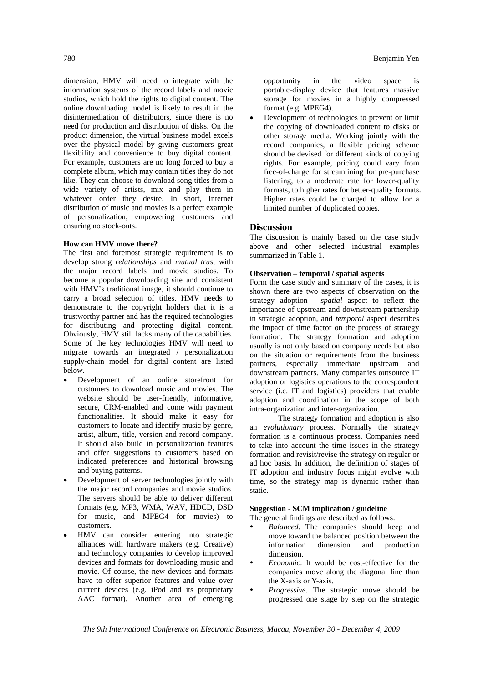dimension, HMV will need to integrate with the information systems of the record labels and movie studios, which hold the rights to digital content. The online downloading model is likely to result in the disintermediation of distributors, since there is no need for production and distribution of disks. On the product dimension, the virtual business model excels over the physical model by giving customers great flexibility and convenience to buy digital content. For example, customers are no long forced to buy a complete album, which may contain titles they do not like. They can choose to download song titles from a wide variety of artists, mix and play them in whatever order they desire. In short, Internet distribution of music and movies is a perfect example of personalization, empowering customers and ensuring no stock-outs.

## **How can HMV move there?**

The first and foremost strategic requirement is to develop strong *relationships* and *mutual trus*t with the major record labels and movie studios. To become a popular downloading site and consistent with HMV's traditional image, it should continue to carry a broad selection of titles. HMV needs to demonstrate to the copyright holders that it is a trustworthy partner and has the required technologies for distributing and protecting digital content. Obviously, HMV still lacks many of the capabilities. Some of the key technologies HMV will need to migrate towards an integrated / personalization supply-chain model for digital content are listed below.

- Development of an online storefront for customers to download music and movies. The website should be user-friendly, informative, secure, CRM-enabled and come with payment functionalities. It should make it easy for customers to locate and identify music by genre, artist, album, title, version and record company. It should also build in personalization features and offer suggestions to customers based on indicated preferences and historical browsing and buying patterns.
- Development of server technologies jointly with the major record companies and movie studios. The servers should be able to deliver different formats (e.g. MP3, WMA, WAV, HDCD, DSD for music, and MPEG4 for movies) to customers.
- HMV can consider entering into strategic alliances with hardware makers (e.g. Creative) and technology companies to develop improved devices and formats for downloading music and movie. Of course, the new devices and formats have to offer superior features and value over current devices (e.g. iPod and its proprietary AAC format). Another area of emerging

opportunity in the video space is portable-display device that features massive storage for movies in a highly compressed format (e.g. MPEG4).

• Development of technologies to prevent or limit the copying of downloaded content to disks or other storage media. Working jointly with the record companies, a flexible pricing scheme should be devised for different kinds of copying rights. For example, pricing could vary from free-of-charge for streamlining for pre-purchase listening, to a moderate rate for lower-quality formats, to higher rates for better-quality formats. Higher rates could be charged to allow for a limited number of duplicated copies.

## **Discussion**

The discussion is mainly based on the case study above and other selected industrial examples summarized in Table 1.

## **Observation – temporal / spatial aspects**

Form the case study and summary of the cases, it is shown there are two aspects of observation on the strategy adoption - *spatial* aspect to reflect the importance of upstream and downstream partnership in strategic adoption, and *temporal* aspect describes the impact of time factor on the process of strategy formation. The strategy formation and adoption usually is not only based on company needs but also on the situation or requirements from the business partners, especially immediate upstream and downstream partners. Many companies outsource IT adoption or logistics operations to the correspondent service (i.e. IT and logistics) providers that enable adoption and coordination in the scope of both intra-organization and inter-organization.

The strategy formation and adoption is also an *evolutionary* process. Normally the strategy formation is a continuous process. Companies need to take into account the time issues in the strategy formation and revisit/revise the strategy on regular or ad hoc basis. In addition, the definition of stages of IT adoption and industry focus might evolve with time, so the strategy map is dynamic rather than static.

## **Suggestion - SCM implication / guideline**

The general findings are described as follows.

- Balanced. The companies should keep and move toward the balanced position between the information dimension and production dimension.
- *Economic*. It would be cost-effective for the companies move along the diagonal line than the X-axis or Y-axis.
- *Progressive.* The strategic move should be progressed one stage by step on the strategic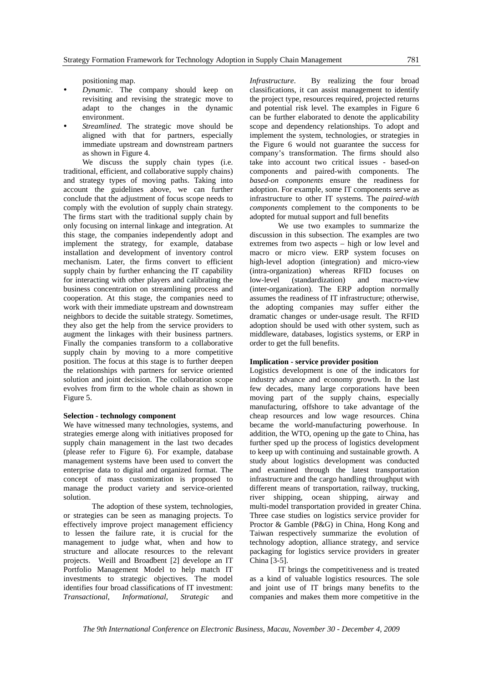positioning map.

- y *Dynamic*. The company should keep on revisiting and revising the strategic move to adapt to the changes in the dynamic environment.
- Streamlined. The strategic move should be aligned with that for partners, especially immediate upstream and downstream partners as shown in Figure 4.

We discuss the supply chain types (i.e. traditional, efficient, and collaborative supply chains) and strategy types of moving paths. Taking into account the guidelines above, we can further conclude that the adjustment of focus scope needs to comply with the evolution of supply chain strategy. The firms start with the traditional supply chain by only focusing on internal linkage and integration. At this stage, the companies independently adopt and implement the strategy, for example, database installation and development of inventory control mechanism. Later, the firms convert to efficient supply chain by further enhancing the IT capability for interacting with other players and calibrating the business concentration on streamlining process and cooperation. At this stage, the companies need to work with their immediate upstream and downstream neighbors to decide the suitable strategy. Sometimes, they also get the help from the service providers to augment the linkages with their business partners. Finally the companies transform to a collaborative supply chain by moving to a more competitive position. The focus at this stage is to further deepen the relationships with partners for service oriented solution and joint decision. The collaboration scope evolves from firm to the whole chain as shown in Figure 5.

#### **Selection - technology component**

We have witnessed many technologies, systems, and strategies emerge along with initiatives proposed for supply chain management in the last two decades (please refer to Figure 6). For example, database management systems have been used to convert the enterprise data to digital and organized format. The concept of mass customization is proposed to manage the product variety and service-oriented solution.

The adoption of these system, technologies, or strategies can be seen as managing projects. To effectively improve project management efficiency to lessen the failure rate, it is crucial for the management to judge what, when and how to structure and allocate resources to the relevant projects. Weill and Broadbent [2] develope an IT Portfolio Management Model to help match IT investments to strategic objectives. The model identifies four broad classifications of IT investment: *Transactional*, *Informational*, *Strategic* and

*Infrastructure*. By realizing the four broad classifications, it can assist management to identify the project type, resources required, projected returns and potential risk level. The examples in Figure 6 can be further elaborated to denote the applicability scope and dependency relationships. To adopt and implement the system, technologies, or strategies in the Figure 6 would not guarantee the success for company's transformation. The firms should also take into account two critical issues - based-on components and paired-with components. The *based-on components* ensure the readiness for adoption. For example, some IT components serve as infrastructure to other IT systems. The *paired-with components* complement to the components to be adopted for mutual support and full benefits

We use two examples to summarize the discussion in this subsection. The examples are two extremes from two aspects – high or low level and macro or micro view. ERP system focuses on high-level adoption (integration) and micro-view (intra-organization) whereas RFID focuses on low-level (standardization) and macro-view (inter-organization). The ERP adoption normally assumes the readiness of IT infrastructure; otherwise, the adopting companies may suffer either the dramatic changes or under-usage result. The RFID adoption should be used with other system, such as middleware, databases, logistics systems, or ERP in order to get the full benefits.

## **Implication - service provider position**

Logistics development is one of the indicators for industry advance and economy growth. In the last few decades, many large corporations have been moving part of the supply chains, especially manufacturing, offshore to take advantage of the cheap resources and low wage resources. China became the world-manufacturing powerhouse. In addition, the WTO, opening up the gate to China, has further sped up the process of logistics development to keep up with continuing and sustainable growth. A study about logistics development was conducted and examined through the latest transportation infrastructure and the cargo handling throughput with different means of transportation, railway, trucking, river shipping, ocean shipping, airway and multi-model transportation provided in greater China. Three case studies on logistics service provider for Proctor & Gamble (P&G) in China, Hong Kong and Taiwan respectively summarize the evolution of technology adoption, alliance strategy, and service packaging for logistics service providers in greater China [3-5].

IT brings the competitiveness and is treated as a kind of valuable logistics resources. The sole and joint use of IT brings many benefits to the companies and makes them more competitive in the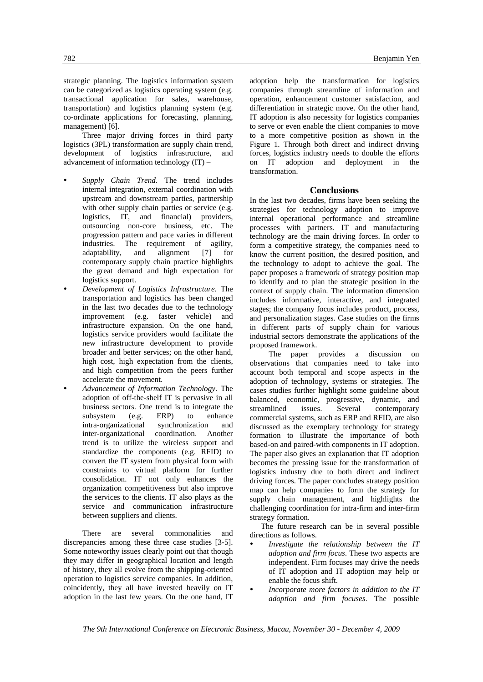strategic planning. The logistics information system can be categorized as logistics operating system (e.g. transactional application for sales, warehouse, transportation) and logistics planning system (e.g. co-ordinate applications for forecasting, planning, management) [6].

Three major driving forces in third party logistics (3PL) transformation are supply chain trend, development of logistics infrastructure, and advancement of information technology (IT) –

- Supply *Chain Trend*. The trend includes internal integration, external coordination with upstream and downstream parties, partnership with other supply chain parties or service (e.g. logistics, IT, and financial) providers, outsourcing non-core business, etc. The progression pattern and pace varies in different industries. The requirement of agility, adaptability, and alignment [7] for contemporary supply chain practice highlights the great demand and high expectation for logistics support.
- y *Development of Logistics Infrastructure*. The transportation and logistics has been changed in the last two decades due to the technology improvement (e.g. faster vehicle) and infrastructure expansion. On the one hand, logistics service providers would facilitate the new infrastructure development to provide broader and better services; on the other hand, high cost, high expectation from the clients, and high competition from the peers further accelerate the movement.
- y *Advancement of Information Technology*. The adoption of off-the-shelf IT is pervasive in all business sectors. One trend is to integrate the subsystem (e.g. ERP) to enhance intra-organizational synchronization and inter-organizational coordination. Another trend is to utilize the wireless support and standardize the components (e.g. RFID) to convert the IT system from physical form with constraints to virtual platform for further consolidation. IT not only enhances the organization competitiveness but also improve the services to the clients. IT also plays as the service and communication infrastructure between suppliers and clients.

There are several commonalities and discrepancies among these three case studies [3-5]. Some noteworthy issues clearly point out that though they may differ in geographical location and length of history, they all evolve from the shipping-oriented operation to logistics service companies. In addition, coincidently, they all have invested heavily on IT adoption in the last few years. On the one hand, IT

adoption help the transformation for logistics companies through streamline of information and operation, enhancement customer satisfaction, and differentiation in strategic move. On the other hand, IT adoption is also necessity for logistics companies to serve or even enable the client companies to move to a more competitive position as shown in the Figure 1. Through both direct and indirect driving forces, logistics industry needs to double the efforts on IT adoption and deployment in the transformation.

## **Conclusions**

In the last two decades, firms have been seeking the strategies for technology adoption to improve internal operational performance and streamline processes with partners. IT and manufacturing technology are the main driving forces. In order to form a competitive strategy, the companies need to know the current position, the desired position, and the technology to adopt to achieve the goal. The paper proposes a framework of strategy position map to identify and to plan the strategic position in the context of supply chain. The information dimension includes informative, interactive, and integrated stages; the company focus includes product, process, and personalization stages. Case studies on the firms in different parts of supply chain for various industrial sectors demonstrate the applications of the proposed framework.

The paper provides a discussion on observations that companies need to take into account both temporal and scope aspects in the adoption of technology, systems or strategies. The cases studies further highlight some guideline about balanced, economic, progressive, dynamic, and streamlined issues. Several contemporary commercial systems, such as ERP and RFID, are also discussed as the exemplary technology for strategy formation to illustrate the importance of both based-on and paired-with components in IT adoption. The paper also gives an explanation that IT adoption becomes the pressing issue for the transformation of logistics industry due to both direct and indirect driving forces. The paper concludes strategy position map can help companies to form the strategy for supply chain management, and highlights the challenging coordination for intra-firm and inter-firm strategy formation.

The future research can be in several possible directions as follows.

- Investigate the relationship between the IT *adoption and firm focus*. These two aspects are independent. Firm focuses may drive the needs of IT adoption and IT adoption may help or enable the focus shift.
- Incorporate more factors in addition to the IT *adoption and firm focuses*. The possible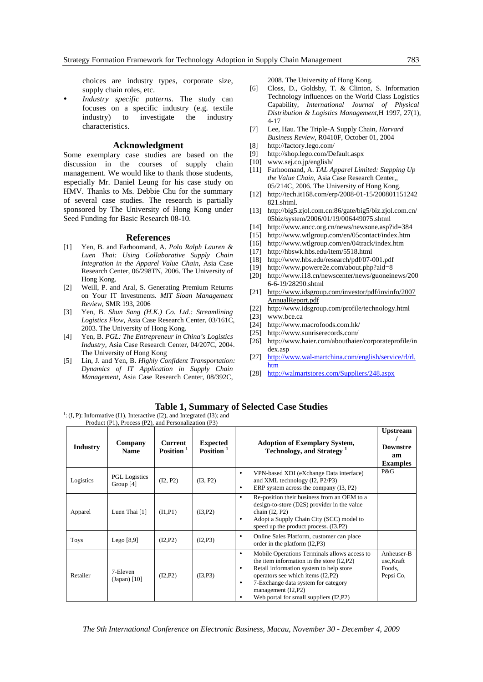choices are industry types, corporate size, supply chain roles, etc.

*Industry specific patterns*. The study can focuses on a specific industry (e.g. textile industry) to investigate the industry characteristics.

## **Acknowledgment**

Some exemplary case studies are based on the discussion in the courses of supply chain management. We would like to thank those students, especially Mr. Daniel Leung for his case study on HMV. Thanks to Ms. Debbie Chu for the summary of several case studies. The research is partially sponsored by The University of Hong Kong under Seed Funding for Basic Research 08-10.

#### **References**

- [1] Yen, B. and Farhoomand, A. *Polo Ralph Lauren & Luen Thai: Using Collaborative Supply Chain Integration in the Apparel Value Chain*, Asia Case Research Center, 06/298TN, 2006. The University of Hong Kong.
- [2] Weill, P. and Aral, S. Generating Premium Returns on Your IT Investments. *MIT Sloan Management Review*, SMR 193, 2006
- [3] Yen, B. *Shun Sang (H.K.) Co. Ltd.: Streamlining Logistics Flow,* Asia Case Research Center, 03/161C, 2003. The University of Hong Kong.
- [4] Yen, B. *PGL: The Entrepreneur in China's Logistics Industry*, Asia Case Research Center, 04/207C, 2004. The University of Hong Kong
- [5] Lin, J. and Yen, B. *Highly Confident Transportation: Dynamics of IT Application in Supply Chain Management*, Asia Case Research Center, 08/392C,

2008. The University of Hong Kong.

- [6] Closs, D., Goldsby, T. & Clinton, S. Information Technology influences on the World Class Logistics Capability, *International Journal of Physical Distribution & Logistics Management*,H 1997, 27(1), 4-17
- [7] Lee, Hau. The Triple-A Supply Chain, *Harvard Business Review*, R0410F, October 01, 2004
- [8] http://factory.lego.com/
- [9] http://shop.lego.com/Default.aspx
- [10] www.sej.co.jp/english/
- [11] Farhoomand, A. *TAL Apparel Limited: Stepping Up the Value Chain*, Asia Case Research Center,, 05/214C, 2006. The University of Hong Kong.
- [12] http://tech.it168.com/erp/2008-01-15/200801151242 821.shtml.
- [13] http://big5.zjol.com.cn:86/gate/big5/biz.zjol.com.cn/ 05biz/system/2006/01/19/006449075.shtml
- [14] http://www.ancc.org.cn/news/newsone.asp?id=384
- [15] http://www.wtlgroup.com/en/05contact/index.htm
- [16] http://www.wtlgroup.com/en/04track/index.htm
- [17] http://hbswk.hbs.edu/item/5518.html
- [18] http://www.hbs.edu/research/pdf/07-001.pdf
- [19] http://www.powere2e.com/about.php?aid=8
- [20] http://www.i18.cn/newscenter/news/guoneinews/200 6-6-19/28290.shtml
- [21] http://www.idsgroup.com/investor/pdf/invinfo/2007 AnnualReport.pdf
- [22] http://www.idsgroup.com/profile/technology.html
- www.bce.ca
- [24] http://www.macrofoods.com.hk/
- [25] http://www.sunriserecords.com/
- [26] http://www.haier.com/abouthaier/corporateprofile/in dex.asp
- [27] http://www.wal-martchina.com/english/service/rl/rl. htm
- [28] http://walmartstores.com/Suppliers/248.aspx

## **Table 1, Summary of Selected Case Studies**

 $1$ : (I, P): Informative (I1), Interactive (I2), and Integrated (I3); and Product (P1), Process (P2), and Personalization (P3)

| <b>Industry</b> | Company<br><b>Name</b>              | <b>Current</b><br>Position <sup>1</sup> | <b>Expected</b><br>Position <sup>1</sup> | <b>Adoption of Exemplary System,</b><br><b>Technology, and Strategy<sup>1</sup></b>                                                                                                                                                                                                                 | <b>Upstream</b><br><b>Downstre</b><br>am<br><b>Examples</b> |
|-----------------|-------------------------------------|-----------------------------------------|------------------------------------------|-----------------------------------------------------------------------------------------------------------------------------------------------------------------------------------------------------------------------------------------------------------------------------------------------------|-------------------------------------------------------------|
| Logistics       | <b>PGL</b> Logistics<br>Group $[4]$ | (I2, P2)                                | (I3, P2)                                 | VPN-based XDI (eXchange Data interface)<br>٠<br>and XML technology (I2, P2/P3)<br>ERP system across the company (I3, P2)<br>٠                                                                                                                                                                       | P&G                                                         |
| Apparel         | Luen Thai [1]                       | (I1, P1)                                | (I3, P2)                                 | Re-position their business from an OEM to a<br>٠<br>design-to-store (D2S) provider in the value<br>chain $(I2, P2)$<br>Adopt a Supply Chain City (SCC) model to<br>٠<br>speed up the product process. (I3, P2)                                                                                      |                                                             |
| <b>Toys</b>     | Lego $[8,9]$                        | (I2, P2)                                | (I2, P3)                                 | Online Sales Platform, customer can place<br>٠<br>order in the platform $(I2, P3)$                                                                                                                                                                                                                  |                                                             |
| Retailer        | 7-Eleven<br>(Japan) [10]            | (I2, P2)                                | (I3, P3)                                 | Mobile Operations Terminals allows access to<br>٠<br>the item information in the store $(I2,P2)$<br>Retail information system to help store<br>٠<br>operators see which items (I2,P2)<br>7-Exchange data system for category<br>٠<br>management $(I2,P2)$<br>Web portal for small suppliers (I2,P2) | Anheuser-B<br>usc,Kraft<br>Foods.<br>Pepsi Co,              |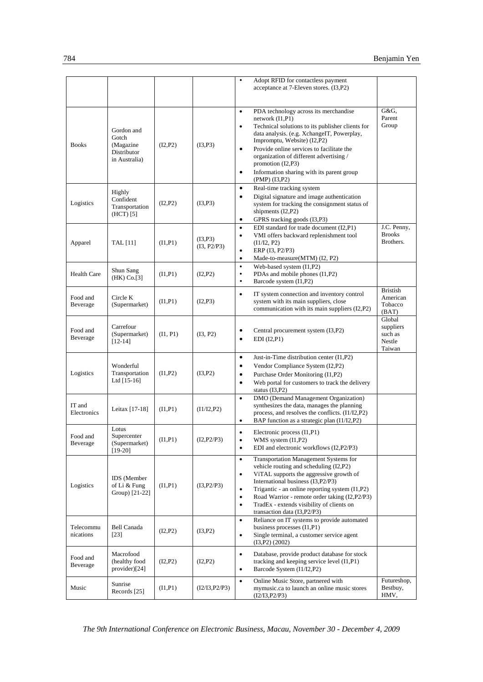|                        |                                                                   |          |                         | Adopt RFID for contactless payment<br>$\bullet$<br>acceptance at 7-Eleven stores. (I3,P2)                                                                                                                                                                                                                                                                                                                                    |                                                    |
|------------------------|-------------------------------------------------------------------|----------|-------------------------|------------------------------------------------------------------------------------------------------------------------------------------------------------------------------------------------------------------------------------------------------------------------------------------------------------------------------------------------------------------------------------------------------------------------------|----------------------------------------------------|
| <b>Books</b>           | Gordon and<br>Gotch<br>(Magazine)<br>Distributor<br>in Australia) | (I2, P2) | (I3, P3)                | PDA technology across its merchandise<br>$\bullet$<br>network $(I1, P1)$<br>Technical solutions to its publisher clients for<br>$\bullet$<br>data analysis. (e.g. XchangeIT, Powerplay,<br>Impromptu, Website) (I2,P2)<br>Provide online services to facilitate the<br>$\bullet$<br>organization of different advertising /<br>promotion (I2,P3)<br>Information sharing with its parent group<br>$\bullet$<br>(PMP) (I3, P2) | G&G.<br>Parent<br>Group                            |
| Logistics              | Highly<br>Confident<br>Transportation<br>$(HCT)$ [5]              | (I2, P2) | (I3, P3)                | Real-time tracking system<br>$\bullet$<br>Digital signature and image authentication<br>$\bullet$<br>system for tracking the consignment status of<br>shipments (I2,P2)<br>GPRS tracking goods (I3,P3)<br>$\bullet$                                                                                                                                                                                                          |                                                    |
| Apparel                | TAL [11]                                                          | (I1, P1) | (I3, P3)<br>(I3, P2/P3) | EDI standard for trade document (I2,P1)<br>$\bullet$<br>VMI offers backward replenishment tool<br>$\bullet$<br>(I1/I2, P2)<br>ERP (I3, P2/P3)<br>$\bullet$<br>Made-to-measure(MTM) (I2, P2)<br>$\bullet$                                                                                                                                                                                                                     | J.C. Penny,<br><b>Brooks</b><br>Brothers.          |
| <b>Health Care</b>     | Shun Sang<br>$(HK)$ Co.[3]                                        | (11, P1) | (I2, P2)                | Web-based system (I1,P2)<br>$\bullet$<br>PDAs and mobile phones (I1,P2)<br>$\bullet$<br>$\bullet$<br>Barcode system (I1,P2)                                                                                                                                                                                                                                                                                                  |                                                    |
| Food and<br>Beverage   | Circle K<br>(Supermarket)                                         | (I1, P1) | (I2.P3)                 | IT system connection and inventory control<br>$\bullet$<br>system with its main suppliers, close<br>communication with its main suppliers (I2,P2)                                                                                                                                                                                                                                                                            | <b>Bristish</b><br>American<br>Tobacco<br>(BAT)    |
| Food and<br>Beverage   | Carrefour<br>(Supermarket)<br>$[12-14]$                           | (1, P1)  | (I3, P2)                | Central procurement system (I3, P2)<br>٠<br>EDI (I2,P1)<br>$\bullet$                                                                                                                                                                                                                                                                                                                                                         | Global<br>suppliers<br>such as<br>Nestle<br>Taiwan |
| Logistics              | Wonderful<br>Transportation<br>Ltd $[15-16]$                      | (11, P2) | (I3, P2)                | Just-in-Time distribution center (I1,P2)<br>$\bullet$<br>Vendor Compliance System (I2,P2)<br>$\bullet$<br>Purchase Order Monitoring (I1,P2)<br>$\bullet$<br>Web portal for customers to track the delivery<br>$\bullet$<br>status $(I3, P2)$                                                                                                                                                                                 |                                                    |
| IT and<br>Electronics  | Leitax [17-18]                                                    | (I1, P1) | (I1/I2, P2)             | DMO (Demand Management Organization)<br>$\bullet$<br>synthesizes the data, manages the planning<br>process, and resolves the conflicts. (I1/I2,P2)<br>BAP function as a strategic plan (I1/I2,P2)<br>$\bullet$                                                                                                                                                                                                               |                                                    |
| Food and<br>Beverage   | Lotus<br>Supercenter<br>(Supermarket)<br>$[19-20]$                | (1, P1)  | (I2, P2/P3)             | Electronic process (I1, P1)<br>$\bullet$<br>WMS system (I1,P2)<br>$\bullet$<br>EDI and electronic workflows (I2,P2/P3)<br>$\bullet$                                                                                                                                                                                                                                                                                          |                                                    |
| Logistics              | <b>IDS</b> (Member<br>of Li & Fung<br>Group) $[21-22]$            | (I1, P1) | (I3, P2/P3)             | Transportation Management Systems for<br>$\bullet$<br>vehicle routing and scheduling (I2,P2)<br>ViTAL supports the aggressive growth of<br>$\bullet$<br>International business (I3, P2/P3)<br>Trigantic - an online reporting system (I1,P2)<br>$\bullet$<br>Road Warrior - remote order taking (I2,P2/P3)<br>$\bullet$<br>TradEx - extends visibility of clients on<br>$\bullet$<br>transaction data (I3, P2/P3)            |                                                    |
| Telecommu<br>nications | Bell Canada<br>$[23]$                                             | (I2, P2) | (I3, P2)                | Reliance on IT systems to provide automated<br>$\bullet$<br>business processes (I1,P1)<br>Single terminal, a customer service agent<br>$\bullet$<br>$(I3,P2)$ $(2002)$                                                                                                                                                                                                                                                       |                                                    |
| Food and<br>Beverage   | Macrofood<br>(healthy food<br>provider)[24]                       | (I2, P2) | (I2, P2)                | Database, provide product database for stock<br>$\bullet$<br>tracking and keeping service level (I1,P1)<br>Barcode System (I1/I2,P2)<br>$\bullet$                                                                                                                                                                                                                                                                            |                                                    |
| Music                  | Sunrise<br>Records [25]                                           | (1, P1)  | (I2/I3, P2/P3)          | Online Music Store, partnered with<br>$\bullet$<br>mymusic.ca to launch an online music stores<br>(I2/I3, P2/P3)                                                                                                                                                                                                                                                                                                             | Futureshop,<br>Bestbuy,<br>HMV,                    |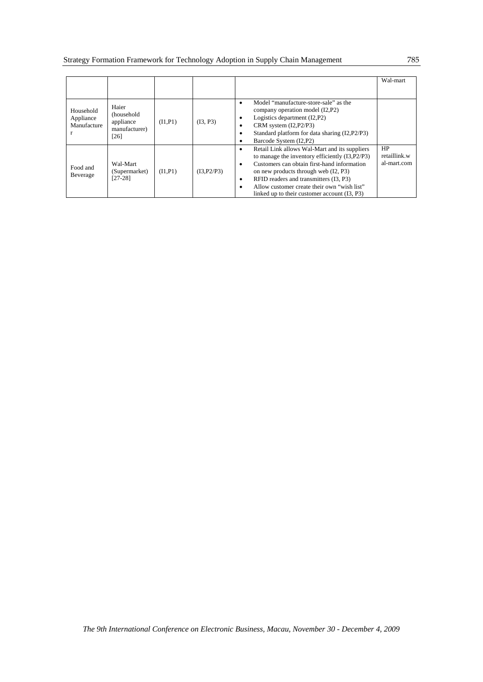|                                            |                                                             |          |             |                                                                                                                                                                                                                                                                                                                                                      | Wal-mart                          |
|--------------------------------------------|-------------------------------------------------------------|----------|-------------|------------------------------------------------------------------------------------------------------------------------------------------------------------------------------------------------------------------------------------------------------------------------------------------------------------------------------------------------------|-----------------------------------|
|                                            |                                                             |          |             |                                                                                                                                                                                                                                                                                                                                                      |                                   |
| Household<br>Appliance<br>Manufacture<br>r | Haier<br>(household<br>appliance<br>manufacturer)<br>$[26]$ | (11, P1) | (I3, P3)    | Model "manufacture-store-sale" as the<br>٠<br>company operation model (I2, P2)<br>Logistics department (I2,P2)<br>CRM system $(I2, P2/P3)$<br>٠<br>Standard platform for data sharing (I2, P2/P3)<br>٠<br>Barcode System (I2, P2)                                                                                                                    |                                   |
| Food and<br>Beverage                       | Wal-Mart<br>(Supermarket)<br>$[27-28]$                      | (11, P1) | (I3, P2/P3) | Retail Link allows Wal-Mart and its suppliers<br>٠<br>to manage the inventory efficiently (I3, P2/P3)<br>Customers can obtain first-hand information<br>٠<br>on new products through web (I2, P3)<br>RFID readers and transmitters (I3, P3)<br>٠<br>Allow customer create their own "wish list"<br>٠<br>linked up to their customer account (I3, P3) | HP<br>retaillink.w<br>al-mart.com |